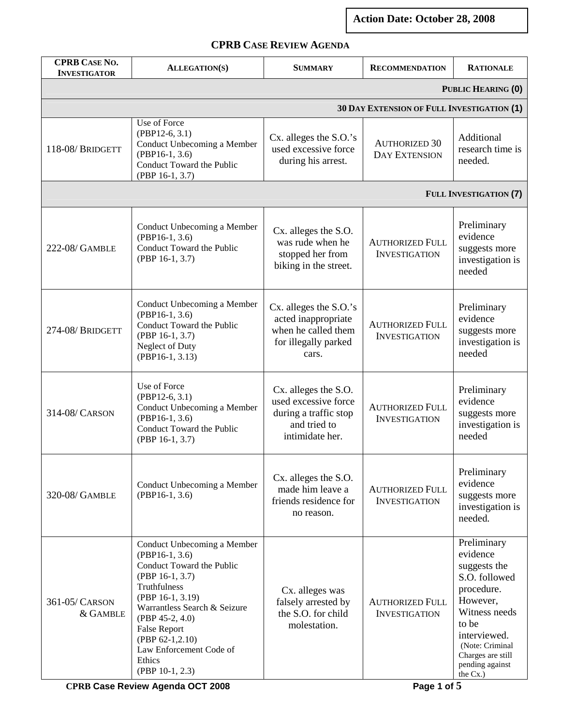**Action Date: October 28, 2008** 

## **CPRB CASE REVIEW AGENDA**

| <b>CPRB CASE NO.</b><br><b>INVESTIGATOR</b> | <b>ALLEGATION(S)</b>                                                                                                                                                                                                                                                                       | <b>SUMMARY</b>                                                                                           | <b>RECOMMENDATION</b>                             | <b>RATIONALE</b>                                                                                                                                                                                    |
|---------------------------------------------|--------------------------------------------------------------------------------------------------------------------------------------------------------------------------------------------------------------------------------------------------------------------------------------------|----------------------------------------------------------------------------------------------------------|---------------------------------------------------|-----------------------------------------------------------------------------------------------------------------------------------------------------------------------------------------------------|
|                                             |                                                                                                                                                                                                                                                                                            |                                                                                                          |                                                   | PUBLIC HEARING (0)                                                                                                                                                                                  |
|                                             |                                                                                                                                                                                                                                                                                            |                                                                                                          | <b>30 DAY EXTENSION OF FULL INVESTIGATION (1)</b> |                                                                                                                                                                                                     |
| 118-08/BRIDGETT                             | Use of Force<br>$(PBP12-6, 3.1)$<br>Conduct Unbecoming a Member<br>$(PBP16-1, 3.6)$<br>Conduct Toward the Public<br>(PBP 16-1, 3.7)                                                                                                                                                        | Cx. alleges the S.O.'s<br>used excessive force<br>during his arrest.                                     | <b>AUTHORIZED 30</b><br><b>DAY EXTENSION</b>      | Additional<br>research time is<br>needed.                                                                                                                                                           |
|                                             |                                                                                                                                                                                                                                                                                            |                                                                                                          |                                                   | <b>FULL INVESTIGATION (7)</b>                                                                                                                                                                       |
| 222-08/ GAMBLE                              | Conduct Unbecoming a Member<br>$(PBP16-1, 3.6)$<br>Conduct Toward the Public<br>(PBP 16-1, 3.7)                                                                                                                                                                                            | Cx. alleges the S.O.<br>was rude when he<br>stopped her from<br>biking in the street.                    | <b>AUTHORIZED FULL</b><br><b>INVESTIGATION</b>    | Preliminary<br>evidence<br>suggests more<br>investigation is<br>needed                                                                                                                              |
| 274-08/BRIDGETT                             | Conduct Unbecoming a Member<br>$(PBP16-1, 3.6)$<br>Conduct Toward the Public<br>(PBP 16-1, 3.7)<br>Neglect of Duty<br>$(PBP16-1, 3.13)$                                                                                                                                                    | Cx. alleges the S.O.'s<br>acted inappropriate<br>when he called them<br>for illegally parked<br>cars.    | <b>AUTHORIZED FULL</b><br><b>INVESTIGATION</b>    | Preliminary<br>evidence<br>suggests more<br>investigation is<br>needed                                                                                                                              |
| 314-08/ CARSON                              | Use of Force<br>$(PBP12-6, 3.1)$<br>Conduct Unbecoming a Member<br>$(PBP16-1, 3.6)$<br>Conduct Toward the Public<br>(PBP 16-1, 3.7)                                                                                                                                                        | Cx. alleges the S.O.<br>used excessive force<br>during a traffic stop<br>and tried to<br>intimidate her. | <b>AUTHORIZED FULL</b><br><b>INVESTIGATION</b>    | Preliminary<br>evidence<br>suggests more<br>investigation is<br>needed                                                                                                                              |
| 320-08/ GAMBLE                              | Conduct Unbecoming a Member<br>$(PBP16-1, 3.6)$                                                                                                                                                                                                                                            | Cx. alleges the S.O.<br>made him leave a<br>friends residence for<br>no reason.                          | <b>AUTHORIZED FULL</b><br><b>INVESTIGATION</b>    | Preliminary<br>evidence<br>suggests more<br>investigation is<br>needed.                                                                                                                             |
| 361-05/ CARSON<br>& GAMBLE                  | Conduct Unbecoming a Member<br>$(PBP16-1, 3.6)$<br>Conduct Toward the Public<br>(PBP 16-1, 3.7)<br>Truthfulness<br>(PBP 16-1, 3.19)<br>Warrantless Search & Seizure<br>$(PBP 45-2, 4.0)$<br><b>False Report</b><br>(PBP 62-1,2.10)<br>Law Enforcement Code of<br>Ethics<br>(PBP 10-1, 2.3) | Cx. alleges was<br>falsely arrested by<br>the S.O. for child<br>molestation.                             | <b>AUTHORIZED FULL</b><br><b>INVESTIGATION</b>    | Preliminary<br>evidence<br>suggests the<br>S.O. followed<br>procedure.<br>However,<br>Witness needs<br>to be<br>interviewed.<br>(Note: Criminal<br>Charges are still<br>pending against<br>the Cx.) |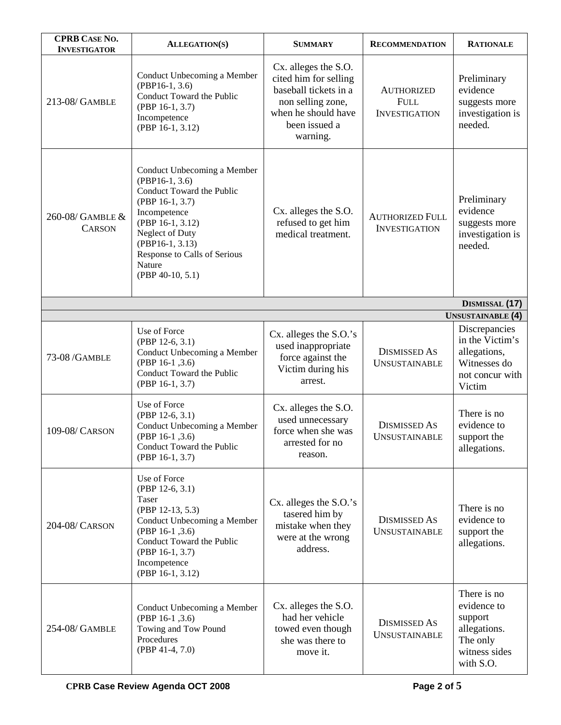| <b>CPRB CASE NO.</b><br><b>INVESTIGATOR</b> | <b>ALLEGATION(S)</b>                                                                                                                                                                                                                        | <b>SUMMARY</b>                                                                                                                                  | <b>RECOMMENDATION</b>                                    | <b>RATIONALE</b>                                                                                |
|---------------------------------------------|---------------------------------------------------------------------------------------------------------------------------------------------------------------------------------------------------------------------------------------------|-------------------------------------------------------------------------------------------------------------------------------------------------|----------------------------------------------------------|-------------------------------------------------------------------------------------------------|
| 213-08/ GAMBLE                              | Conduct Unbecoming a Member<br>$(PBP16-1, 3.6)$<br>Conduct Toward the Public<br>(PBP 16-1, 3.7)<br>Incompetence<br>(PBP 16-1, 3.12)                                                                                                         | Cx. alleges the S.O.<br>cited him for selling<br>baseball tickets in a<br>non selling zone,<br>when he should have<br>been issued a<br>warning. | <b>AUTHORIZED</b><br><b>FULL</b><br><b>INVESTIGATION</b> | Preliminary<br>evidence<br>suggests more<br>investigation is<br>needed.                         |
| 260-08/ GAMBLE &<br><b>CARSON</b>           | Conduct Unbecoming a Member<br>$(PBP16-1, 3.6)$<br>Conduct Toward the Public<br>$(PBP 16-1, 3.7)$<br>Incompetence<br>(PBP 16-1, 3.12)<br>Neglect of Duty<br>$(PBP16-1, 3.13)$<br>Response to Calls of Serious<br>Nature<br>(PBP 40-10, 5.1) | Cx. alleges the S.O.<br>refused to get him<br>medical treatment.                                                                                | <b>AUTHORIZED FULL</b><br><b>INVESTIGATION</b>           | Preliminary<br>evidence<br>suggests more<br>investigation is<br>needed.                         |
| DISMISSAL (17)                              |                                                                                                                                                                                                                                             |                                                                                                                                                 |                                                          |                                                                                                 |
|                                             |                                                                                                                                                                                                                                             |                                                                                                                                                 |                                                          | <b>UNSUSTAINABLE</b> (4)                                                                        |
| 73-08 / GAMBLE                              | Use of Force<br>$(PBP 12-6, 3.1)$<br>Conduct Unbecoming a Member<br>(PBP 16-1, 3.6)<br>Conduct Toward the Public<br>(PBP 16-1, 3.7)                                                                                                         | Cx. alleges the S.O.'s<br>used inappropriate<br>force against the<br>Victim during his<br>arrest.                                               | <b>DISMISSED AS</b><br><b>UNSUSTAINABLE</b>              | Discrepancies<br>in the Victim's<br>allegations,<br>Witnesses do<br>not concur with<br>Victim   |
| 109-08/ CARSON                              | Use of Force<br>(PBP 12-6, 3.1)<br>Conduct Unbecoming a Member<br>(PBP 16-1, 3.6)<br>Conduct Toward the Public<br>(PBP 16-1, 3.7)                                                                                                           | Cx. alleges the S.O.<br>used unnecessary<br>force when she was<br>arrested for no<br>reason.                                                    | <b>DISMISSED AS</b><br><b>UNSUSTAINABLE</b>              | There is no<br>evidence to<br>support the<br>allegations.                                       |
| 204-08/ CARSON                              | Use of Force<br>$(PBP 12-6, 3.1)$<br>Taser<br>(PBP 12-13, 5.3)<br>Conduct Unbecoming a Member<br>(PBP 16-1, 3.6)<br>Conduct Toward the Public<br>(PBP 16-1, 3.7)<br>Incompetence<br>(PBP 16-1, 3.12)                                        | Cx. alleges the S.O.'s<br>tasered him by<br>mistake when they<br>were at the wrong<br>address.                                                  | <b>DISMISSED AS</b><br><b>UNSUSTAINABLE</b>              | There is no<br>evidence to<br>support the<br>allegations.                                       |
| 254-08/ GAMBLE                              | Conduct Unbecoming a Member<br>(PBP 16-1, 3.6)<br>Towing and Tow Pound<br>Procedures<br>$(PBP 41-4, 7.0)$                                                                                                                                   | Cx. alleges the S.O.<br>had her vehicle<br>towed even though<br>she was there to<br>move it.                                                    | <b>DISMISSED AS</b><br><b>UNSUSTAINABLE</b>              | There is no<br>evidence to<br>support<br>allegations.<br>The only<br>witness sides<br>with S.O. |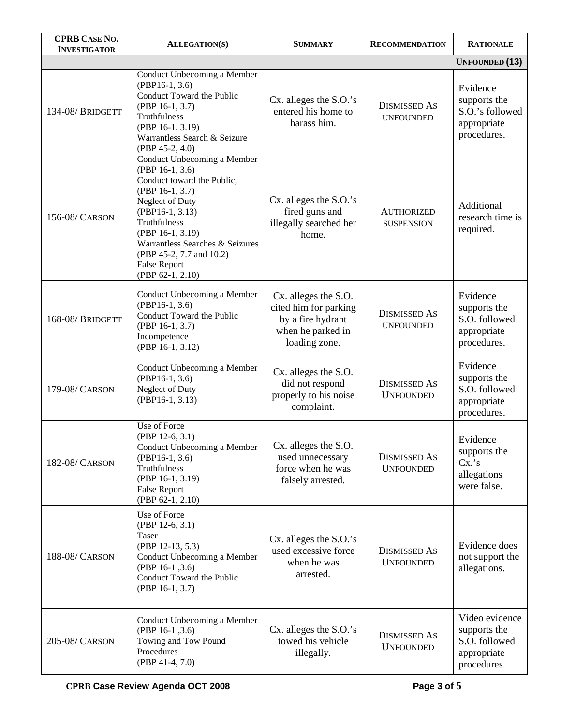| <b>CPRB CASE NO.</b><br><b>INVESTIGATOR</b> | <b>ALLEGATION(S)</b>                                                                                                                                                                                                                                                                | <b>SUMMARY</b>                                                                                           | <b>RECOMMENDATION</b>                   | <b>RATIONALE</b>                                                              |
|---------------------------------------------|-------------------------------------------------------------------------------------------------------------------------------------------------------------------------------------------------------------------------------------------------------------------------------------|----------------------------------------------------------------------------------------------------------|-----------------------------------------|-------------------------------------------------------------------------------|
|                                             |                                                                                                                                                                                                                                                                                     |                                                                                                          |                                         | <b>UNFOUNDED</b> (13)                                                         |
| 134-08/BRIDGETT                             | Conduct Unbecoming a Member<br>$(PBP16-1, 3.6)$<br>Conduct Toward the Public<br>(PBP 16-1, 3.7)<br>Truthfulness<br>(PBP 16-1, 3.19)<br>Warrantless Search & Seizure<br>(PBP 45-2, 4.0)                                                                                              | Cx. alleges the S.O.'s<br>entered his home to<br>harass him.                                             | <b>DISMISSED AS</b><br><b>UNFOUNDED</b> | Evidence<br>supports the<br>S.O.'s followed<br>appropriate<br>procedures.     |
| 156-08/ CARSON                              | Conduct Unbecoming a Member<br>(PBP 16-1, 3.6)<br>Conduct toward the Public,<br>(PBP 16-1, 3.7)<br>Neglect of Duty<br>(PBP16-1, 3.13)<br>Truthfulness<br>(PBP 16-1, 3.19)<br>Warrantless Searches & Seizures<br>(PBP 45-2, 7.7 and 10.2)<br><b>False Report</b><br>(PBP 62-1, 2.10) | Cx. alleges the S.O.'s<br>fired guns and<br>illegally searched her<br>home.                              | <b>AUTHORIZED</b><br><b>SUSPENSION</b>  | Additional<br>research time is<br>required.                                   |
| 168-08/BRIDGETT                             | Conduct Unbecoming a Member<br>$(PBP16-1, 3.6)$<br>Conduct Toward the Public<br>(PBP 16-1, 3.7)<br>Incompetence<br>(PBP 16-1, 3.12)                                                                                                                                                 | Cx. alleges the S.O.<br>cited him for parking<br>by a fire hydrant<br>when he parked in<br>loading zone. | <b>DISMISSED AS</b><br><b>UNFOUNDED</b> | Evidence<br>supports the<br>S.O. followed<br>appropriate<br>procedures.       |
| 179-08/ CARSON                              | Conduct Unbecoming a Member<br>$(PBP16-1, 3.6)$<br>Neglect of Duty<br>(PBP16-1, 3.13)                                                                                                                                                                                               | Cx. alleges the S.O.<br>did not respond<br>properly to his noise<br>complaint.                           | <b>DISMISSED AS</b><br><b>UNFOUNDED</b> | Evidence<br>supports the<br>S.O. followed<br>appropriate<br>procedures.       |
| 182-08/ CARSON                              | Use of Force<br>(PBP 12-6, 3.1)<br>Conduct Unbecoming a Member<br>$(PBP16-1, 3.6)$<br>Truthfulness<br>(PBP 16-1, 3.19)<br><b>False Report</b><br>(PBP 62-1, 2.10)                                                                                                                   | Cx. alleges the S.O.<br>used unnecessary<br>force when he was<br>falsely arrested.                       | <b>DISMISSED AS</b><br><b>UNFOUNDED</b> | Evidence<br>supports the<br>Cx.'s<br>allegations<br>were false.               |
| 188-08/ CARSON                              | Use of Force<br>(PBP 12-6, 3.1)<br>Taser<br>(PBP 12-13, 5.3)<br>Conduct Unbecoming a Member<br>(PBP 16-1, 3.6)<br>Conduct Toward the Public<br>(PBP 16-1, 3.7)                                                                                                                      | Cx. alleges the S.O.'s<br>used excessive force<br>when he was<br>arrested.                               | <b>DISMISSED AS</b><br><b>UNFOUNDED</b> | Evidence does<br>not support the<br>allegations.                              |
| 205-08/ CARSON                              | Conduct Unbecoming a Member<br>(PBP 16-1, 3.6)<br>Towing and Tow Pound<br>Procedures<br>$(PBP 41-4, 7.0)$                                                                                                                                                                           | Cx. alleges the S.O.'s<br>towed his vehicle<br>illegally.                                                | <b>DISMISSED AS</b><br><b>UNFOUNDED</b> | Video evidence<br>supports the<br>S.O. followed<br>appropriate<br>procedures. |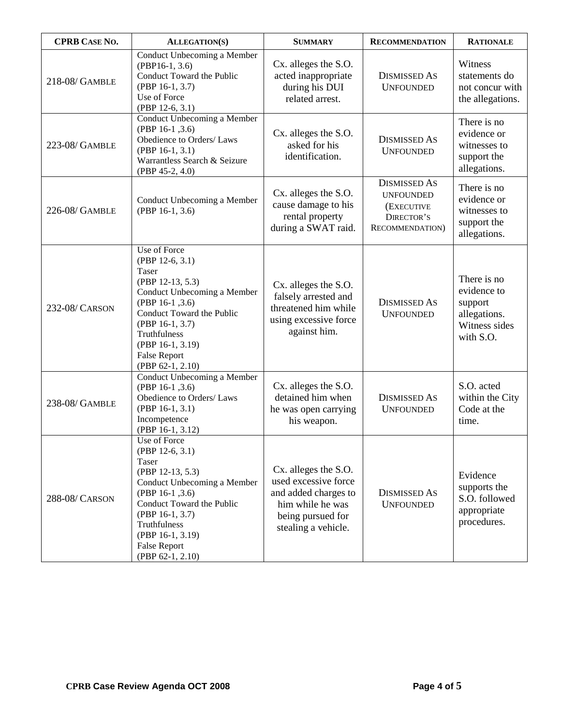| <b>CPRB CASE NO.</b> | <b>ALLEGATION(S)</b>                                                                                                                                                                                                                          | <b>SUMMARY</b>                                                                                                                       | <b>RECOMMENDATION</b>                                                                          | <b>RATIONALE</b>                                                                    |
|----------------------|-----------------------------------------------------------------------------------------------------------------------------------------------------------------------------------------------------------------------------------------------|--------------------------------------------------------------------------------------------------------------------------------------|------------------------------------------------------------------------------------------------|-------------------------------------------------------------------------------------|
| 218-08/ GAMBLE       | Conduct Unbecoming a Member<br>$(PBP16-1, 3.6)$<br>Conduct Toward the Public<br>(PBP 16-1, 3.7)<br>Use of Force<br>(PBP 12-6, 3.1)                                                                                                            | Cx. alleges the S.O.<br>acted inappropriate<br>during his DUI<br>related arrest.                                                     | <b>DISMISSED AS</b><br><b>UNFOUNDED</b>                                                        | Witness<br>statements do<br>not concur with<br>the allegations.                     |
| 223-08/ GAMBLE       | Conduct Unbecoming a Member<br>(PBP 16-1, 3.6)<br>Obedience to Orders/Laws<br>$(PBP 16-1, 3.1)$<br>Warrantless Search & Seizure<br>(PBP 45-2, 4.0)                                                                                            | Cx. alleges the S.O.<br>asked for his<br>identification.                                                                             | <b>DISMISSED AS</b><br><b>UNFOUNDED</b>                                                        | There is no<br>evidence or<br>witnesses to<br>support the<br>allegations.           |
| 226-08/ GAMBLE       | Conduct Unbecoming a Member<br>(PBP 16-1, 3.6)                                                                                                                                                                                                | Cx. alleges the S.O.<br>cause damage to his<br>rental property<br>during a SWAT raid.                                                | <b>DISMISSED AS</b><br><b>UNFOUNDED</b><br>(EXECUTIVE<br>DIRECTOR'S<br><b>RECOMMENDATION</b> ) | There is no<br>evidence or<br>witnesses to<br>support the<br>allegations.           |
| 232-08/ CARSON       | Use of Force<br>(PBP 12-6, 3.1)<br>Taser<br>(PBP 12-13, 5.3)<br>Conduct Unbecoming a Member<br>(PBP 16-1, 3.6)<br>Conduct Toward the Public<br>(PBP 16-1, 3.7)<br>Truthfulness<br>(PBP 16-1, 3.19)<br><b>False Report</b><br>(PBP 62-1, 2.10) | Cx. alleges the S.O.<br>falsely arrested and<br>threatened him while<br>using excessive force<br>against him.                        | <b>DISMISSED AS</b><br><b>UNFOUNDED</b>                                                        | There is no<br>evidence to<br>support<br>allegations.<br>Witness sides<br>with S.O. |
| 238-08/ GAMBLE       | Conduct Unbecoming a Member<br>(PBP 16-1, 3.6)<br>Obedience to Orders/Laws<br>(PBP 16-1, 3.1)<br>Incompetence<br>(PBP 16-1, 3.12)                                                                                                             | Cx. alleges the S.O.<br>detained him when<br>he was open carrying<br>his weapon.                                                     | <b>DISMISSED AS</b><br><b>UNFOUNDED</b>                                                        | S.O. acted<br>within the City<br>Code at the<br>time.                               |
| 288-08/ CARSON       | Use of Force<br>(PBP 12-6, 3.1)<br>Taser<br>(PBP 12-13, 5.3)<br>Conduct Unbecoming a Member<br>(PBP 16-1, 3.6)<br>Conduct Toward the Public<br>(PBP 16-1, 3.7)<br>Truthfulness<br>(PBP 16-1, 3.19)<br><b>False Report</b><br>(PBP 62-1, 2.10) | Cx. alleges the S.O.<br>used excessive force<br>and added charges to<br>him while he was<br>being pursued for<br>stealing a vehicle. | <b>DISMISSED AS</b><br><b>UNFOUNDED</b>                                                        | Evidence<br>supports the<br>S.O. followed<br>appropriate<br>procedures.             |